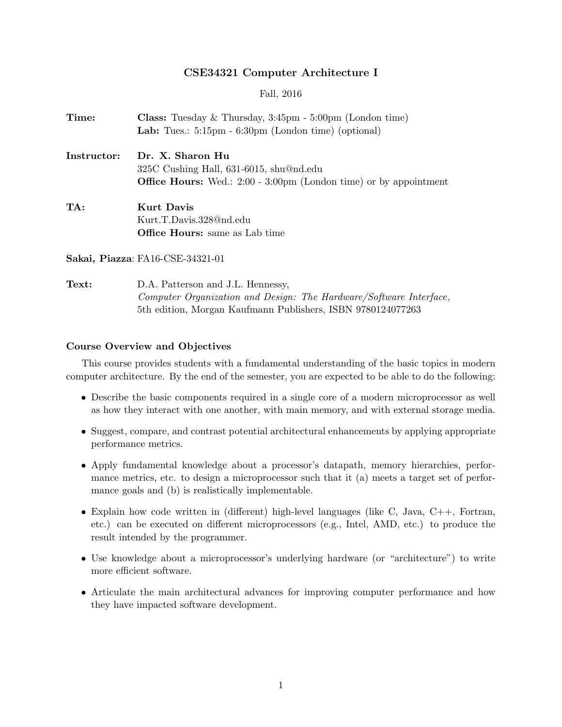#### CSE34321 Computer Architecture I

Fall, 2016

| Time:       | <b>Class:</b> Tuesday $\&$ Thursday, $3:45\text{pm} - 5:00\text{pm}$ (London time) |
|-------------|------------------------------------------------------------------------------------|
|             | Lab: Tues.: $5:15\text{pm} - 6:30\text{pm}$ (London time) (optional)               |
| Instructor: | Dr. X. Sharon Hu                                                                   |
|             | $325C$ Cushing Hall, 631-6015, shu@nd.edu                                          |
|             | <b>Office Hours:</b> Wed.: 2:00 - 3:00pm (London time) or by appointment           |
| TA:         | Kurt Davis                                                                         |
|             | Kurt.T.Davis.328@nd.edu                                                            |
|             | <b>Office Hours:</b> same as Lab time                                              |

Sakai, Piazza: FA16-CSE-34321-01

Text: D.A. Patterson and J.L. Hennessy, Computer Organization and Design: The Hardware/Software Interface, 5th edition, Morgan Kaufmann Publishers, ISBN 9780124077263

#### Course Overview and Objectives

This course provides students with a fundamental understanding of the basic topics in modern computer architecture. By the end of the semester, you are expected to be able to do the following:

- Describe the basic components required in a single core of a modern microprocessor as well as how they interact with one another, with main memory, and with external storage media.
- Suggest, compare, and contrast potential architectural enhancements by applying appropriate performance metrics.
- Apply fundamental knowledge about a processor's datapath, memory hierarchies, performance metrics, etc. to design a microprocessor such that it (a) meets a target set of performance goals and (b) is realistically implementable.
- Explain how code written in (different) high-level languages (like C, Java, C++, Fortran, etc.) can be executed on different microprocessors (e.g., Intel, AMD, etc.) to produce the result intended by the programmer.
- Use knowledge about a microprocessor's underlying hardware (or "architecture") to write more efficient software.
- Articulate the main architectural advances for improving computer performance and how they have impacted software development.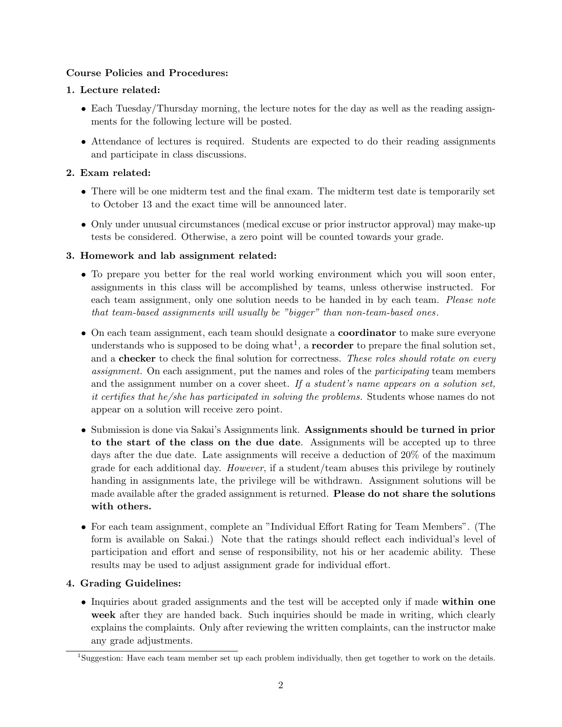### Course Policies and Procedures:

### 1. Lecture related:

- Each Tuesday/Thursday morning, the lecture notes for the day as well as the reading assignments for the following lecture will be posted.
- Attendance of lectures is required. Students are expected to do their reading assignments and participate in class discussions.

### 2. Exam related:

- There will be one midterm test and the final exam. The midterm test date is temporarily set to October 13 and the exact time will be announced later.
- Only under unusual circumstances (medical excuse or prior instructor approval) may make-up tests be considered. Otherwise, a zero point will be counted towards your grade.

#### 3. Homework and lab assignment related:

- To prepare you better for the real world working environment which you will soon enter, assignments in this class will be accomplished by teams, unless otherwise instructed. For each team assignment, only one solution needs to be handed in by each team. Please note that team-based assignments will usually be "bigger" than non-team-based ones .
- On each team assignment, each team should designate a **coordinator** to make sure everyone understands who is supposed to be doing what<sup>1</sup>, a **recorder** to prepare the final solution set, and a checker to check the final solution for correctness. These roles should rotate on every assignment. On each assignment, put the names and roles of the *participating* team members and the assignment number on a cover sheet. If a student's name appears on a solution set, it certifies that he/she has participated in solving the problems. Students whose names do not appear on a solution will receive zero point.
- Submission is done via Sakai's Assignments link. Assignments should be turned in prior to the start of the class on the due date. Assignments will be accepted up to three days after the due date. Late assignments will receive a deduction of 20% of the maximum grade for each additional day. However, if a student/team abuses this privilege by routinely handing in assignments late, the privilege will be withdrawn. Assignment solutions will be made available after the graded assignment is returned. Please do not share the solutions with others.
- For each team assignment, complete an "Individual Effort Rating for Team Members". (The form is available on Sakai.) Note that the ratings should reflect each individual's level of participation and effort and sense of responsibility, not his or her academic ability. These results may be used to adjust assignment grade for individual effort.

## 4. Grading Guidelines:

• Inquiries about graded assignments and the test will be accepted only if made within one week after they are handed back. Such inquiries should be made in writing, which clearly explains the complaints. Only after reviewing the written complaints, can the instructor make any grade adjustments.

<sup>1</sup>Suggestion: Have each team member set up each problem individually, then get together to work on the details.